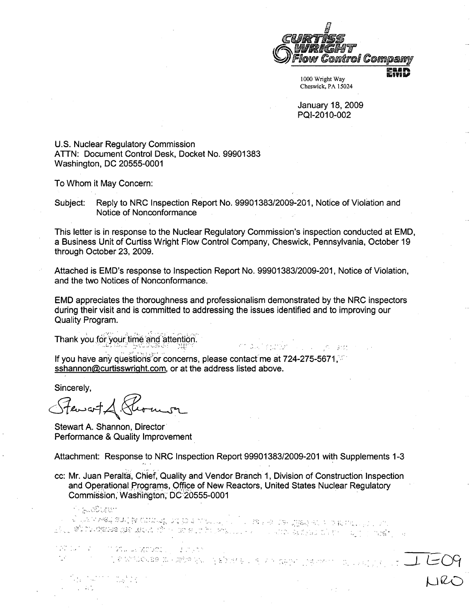

Cheswick, PA 15024

January 18, 2009 PQI-2010-002

 $\frac{1}{2}$  ,  $\frac{1}{2}$  ,

U.S. Nuclear Regulatory Commission ATTN: Document Control Desk, Docket No. 99901383 Washington, DC 20555-0001

To Whom it May Concern:

Subject: Reply to NRC Inspection Report No. 99901383/2009-201, Notice of Violation and Notice of Nonconformance

This letter is in response to the Nuclear Regulatory Commission's inspection conducted at EMD, a Business Unit of Curtiss Wright Flow Control Company, Cheswick, Pennsylvania, October 19 through October 23, 2009.

Attached is EMD's response to Inspection Report No. 99901383/2009-201, Notice of Violation, and the two Notices of Nonconformance.

EMD appreciates the thoroughness and professionalism demonstrated by the NRC inspectors during their visit and is committed to addressing the issues identified and to improving our Quality Program.

Thank you for your time and attention.

If you have any questions or concerns, please contact me at 724-275-5671, and sshannon@curtisswright.com, or at the address listed above.

Sincerely,

Stewart

 $\label{eq:2} \frac{1}{\sqrt{2}}\left(\frac{1}{\sqrt{2}}\right)^{2} \left(\frac{1}{\sqrt{2}}\right)^{2} \left(\frac{1}{\sqrt{2}}\right)^{2} \left(\frac{1}{\sqrt{2}}\right)^{2} \left(\frac{1}{\sqrt{2}}\right)^{2} \left(\frac{1}{\sqrt{2}}\right)^{2} \left(\frac{1}{\sqrt{2}}\right)^{2} \left(\frac{1}{\sqrt{2}}\right)^{2} \left(\frac{1}{\sqrt{2}}\right)^{2} \left(\frac{1}{\sqrt{2}}\right)^{2} \left(\frac{1}{\sqrt{2}}\right)^{2} \left(\frac{$ 

 $-1.17$ 

Stewart A. Shannon, Director Performance & Quality Improvement

Attachment: Response to NRC Inspection Report 99901383/2009-201 with Supplements 1-3

cc: Mr. Juan Peralta, Chief, Quality and Vendor Branch 1, Division of Construction Inspection and Operational Programs, Office of New Reactors, United States Nuclear Regulatory Commission, Washington, DC 20555-0001

1 - ALCOUSET ink in Contrast of the Campaign and the Contrast of the Same and the Campaign of the Decision of the Contrast<br>See The The Contrast of the Contrast of the Contrast of the Same of the Same and the Same Same of the United S nation is comptous vacuoting a come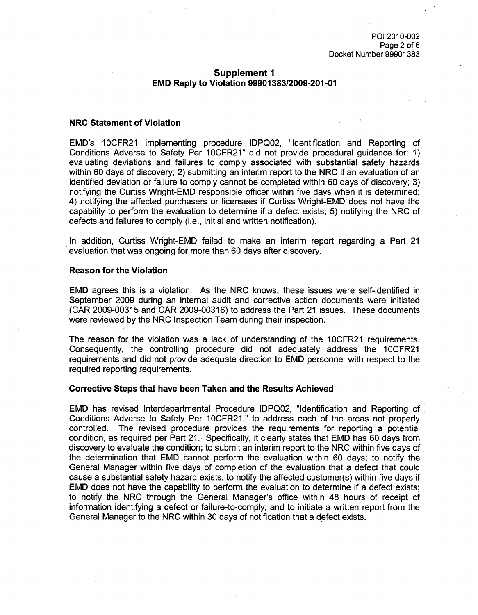## Supplement **1** EMD Reply to Violation **99901383/2009-201 -01**

#### NRC Statement of Violation

EMD's 10CFR21 implementing procedure IDPQ02, "Identification and Reporting of Conditions Adverse to Safety Per 10CFR21" did not provide procedural guidance for: 1) evaluating deviations and failures to comply associated with substantial safety hazards within 60 days of discovery; 2) submitting an interim report to the NRC if an evaluation of an identified deviation or failure to comply cannot be completed within 60 days of discovery; 3) notifying the Curtiss Wright-EMD responsible officer within five days when it is determined; 4) notifying the affected purchasers or licensees if Curtiss Wright-EMD does not have the capability to perform the evaluation to determine if a defect exists; 5) notifying the NRC of defects and failures to comply (i.e., initial and written notification).

In addition, Curtiss Wright-EMD failed to make an interim report regarding a Part 21 evaluation that was ongoing for more than 60 days after discovery.

#### Reason for the Violation

EMD agrees this is a violation. As the NRC knows, these issues were self-identified in September 2009 during an internal audit and corrective action documents were initiated (CAR 2009-00315 and CAR 2009-00316) to address the Part 21 issues. These documents were reviewed by the NRC Inspection Team during their inspection.

The reason for the violation was a lack of understanding of the 10CFR21 requirements. Consequently, the controlling procedure did not adequately address the 10CFR21 requirements and did not provide adequate direction to EMD personnel with respect to the required reporting requirements.

#### Corrective Steps that have been Taken and the Results Achieved

EMD has revised Interdepartmental Procedure IDPQ02, "Identification and Reporting of Conditions Adverse to Safety Per 10CFR21," to address each of the areas not properly controlled. The revised procedure provides the requirements for reporting a potential condition, as required per Part 21. Specifically, it clearly states that EMD has 60 days from discovery to evaluate the condition; to submit an interim report to the NRC within five days of the determination that EMD cannot perform the evaluation within 60 days; to notify the General Manager within five days of completion of the evaluation that a defect that could cause a substantial safety hazard exists; to notify the affected customer(s) within five days if EMD does not have the capability to perform the evaluation to determine if a defect exists; to notify the NRC through the General Manager's office within 48 hours of receipt of information identifying a defect or failure-to-comply; and to initiate a written report from the General Manager to the NRC within 30 days of notification that a defect exists.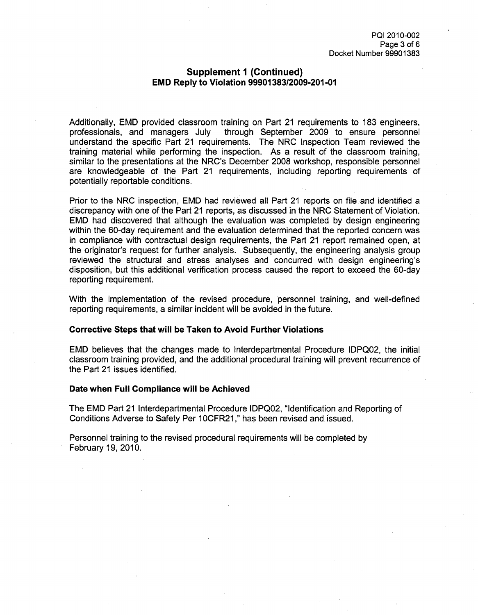## Supplement **1** (Continued) **EMD** Reply to Violation **99901383/2009-201-01**

Additionally, EMD provided classroom training on Part 21 requirements to 183 engineers, professionals, and managers July through September 2009 to ensure personnel through September 2009 to ensure personnel understand the specific Part 21 requirements. The NRC Inspection Team reviewed the training material while performing the inspection. As a result of the classroom training, similar to the presentations at the NRC's December 2008 workshop, responsible personnel are knowledgeable of the Part 21 requirements, including reporting requirements of potentially reportable conditions.

Prior to the NRC inspection, EMD had reviewed all Part 21 reports on file and identified a discrepancy with one of the Part 21 reports, as discussed in the NRC Statement of Violation. EMD had discovered that although the evaluation was completed by design engineering within the 60-day requirement and the evaluation determined that the reported concern was in compliance with contractual design requirements, the Part 21 report remained open, at the originator's request for further analysis. Subsequently, the engineering analysis group reviewed the structural and stress analyses and concurred with design engineering's disposition, but this additional verification process caused the report to exceed the 60-day reporting requirement.

With the implementation of the revised procedure, personnel training, and well-defined reporting requirements, a similar incident will be avoided in the future.

#### Corrective Steps that will be Taken to Avoid Further Violations

EMD believes that the changes made to Interdepartmental Procedure IDPQ02, the initial classroom training provided, and the additional procedural training will prevent recurrence of the Part 21 issues identified.

#### Date when Full Compliance will be Achieved

The EMD Part 21 Interdepartmental Procedure IDPQ02, "Identification and Reporting of Conditions Adverse to Safety Per **1** OCFR21 ," has been revised and issued.

Personnel training to the revised procedural requirements will be completed by February 19, 2010.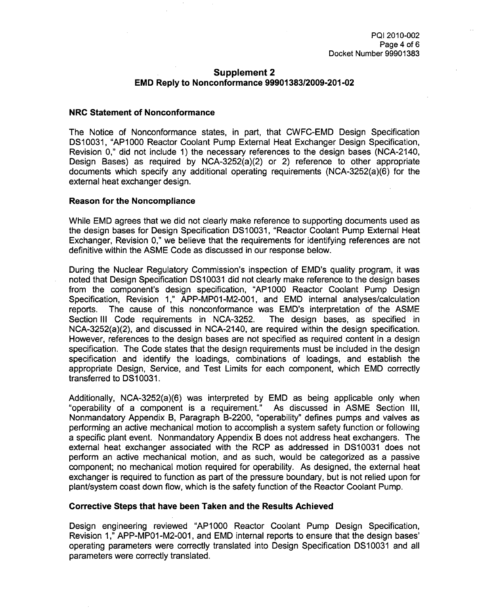# Supplement 2 EMD Reply to Nonconformance **99901383/2009-201-02**

## NRC Statement of Nonconformance

The Notice of Nonconformance states, in part, that CWFC-EMD Design Specification DS10031, "AP1000 Reactor Coolant Pump External Heat Exchanger Design Specification, Revision 0," did not include 1) the necessary references to the design bases (NCA-2140, Design Bases) as required by NCA-3252(a)(2) or 2) reference to other appropriate documents which specify any additional operating requirements (NCA-3252(a)(6) for the external heat exchanger design.

## Reason for the Noncompliance

While EMD agrees that we did not clearly make reference to supporting documents used as the design bases for Design Specification DS10031, "Reactor Coolant Pump External Heat Exchanger, Revision 0," we believe that the requirements for identifying references are not definitive within the ASME Code as discussed in our response below.

During the Nuclear Regulatory Commission's inspection of EMD's quality program, it was noted that Design Specification DS10031 did not clearly make reference to the design bases from the component's design specification, "AP1000 Reactor Coolant Pump Design Specification, Revision 1," APP-MP01-M2-001, and EMD internal analyses/calculation reports. The cause of this nonconformance was EMD's interpretation of the ASME Section III Code requirements in NCA-3252. The design bases, as specified in NCA-3252(a)(2), and discussed in NCA-2140, are required within the design specification. However, references to the design bases are not specified as required content in a design specification. The Code states that the design requirements must be included in the design specification and identify the loadings, combinations of loadings, and establish the appropriate Design, Service, and Test Limits for each component, which EMD correctly transferred to DS10031.

Additionally, NCA-3252(a)(6) was interpreted by EMD as being applicable only when "operability of a component is a requirement." As discussed in ASME Section III, Nonmandatory Appendix B, Paragraph B-2200, "operability" defines pumps and valves as performing an active mechanical motion to accomplish a system safety function or following a specific plant event. Nonmandatory Appendix B does not address heat exchangers. The external heat exchanger associated with the RCP as addressed in DS10031 does not perform an active mechanical motion, and as such, would be categorized as a passive component; no mechanical motion required for operability. As designed, the external heat exchanger is required to function as part of the pressure boundary, but is not relied upon for plant/system coast down flow, which is the safety function of the Reactor Coolant Pump.

# Corrective Steps that have been Taken and the Results Achieved

Design engineering reviewed "AP1000 Reactor Coolant Pump Design Specification, Revision 1," APP-MP01-M2-001, and EMD internal reports to ensure that the design bases' operating parameters were correctly translated into Design Specification DS10031 and all parameters were correctly translated.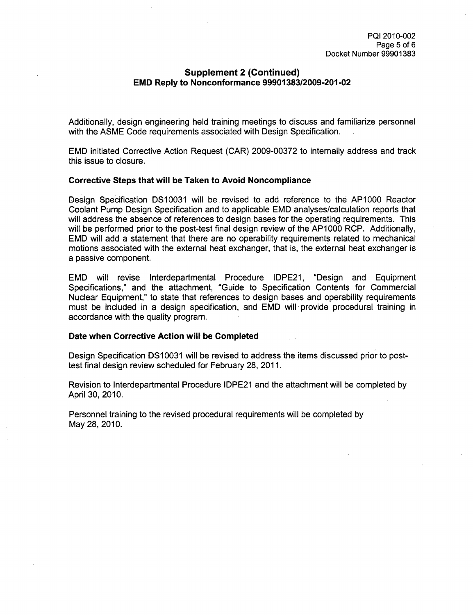# Supplement 2 (Continued) **EMD** Reply to Nonconformance **99901383/2009-201-02**

Additionally, design engineering held training meetings to discuss and familiarize personnel with the ASME Code requirements associated with Design Specification.

EMD initiated Corrective Action Request (CAR) 2009-00372 to internally address and track this issue to closure.

### Corrective Steps that will be Taken to Avoid Noncompliance

Design Specification DS10031 will be revised to add reference to the AP1000 Reactor Coolant Pump Design Specification and to applicable EMD analyses/calculation reports that will address the absence of references to design bases for the operating requirements. This will be performed prior to the post-test final design review of the AP1000 RCP. Additionally, EMD will add a statement that there are no operability requirements related to mechanical motions associated with the external heat exchanger, that is, the external heat exchanger is a passive component.

EMD will revise Interdepartmental Procedure IDPE21, "Design and Equipment Specifications," and the attachment, "Guide to Specification Contents for Commercial Nuclear Equipment," to state that references to design bases and operability requirements must be included in a design specification, and EMD will provide procedural training in accordance with the quality program.

### Date when Corrective Action will be Completed

Design Specification DS10031 will be revised to address the items discussed prior to posttest final design review scheduled for February 28, 2011.

Revision to Interdepartmental Procedure IDPE21 and the attachment will be completed by April 30, 2010.

Personnel training to the revised procedural requirements will be completed by May 28, 2010.